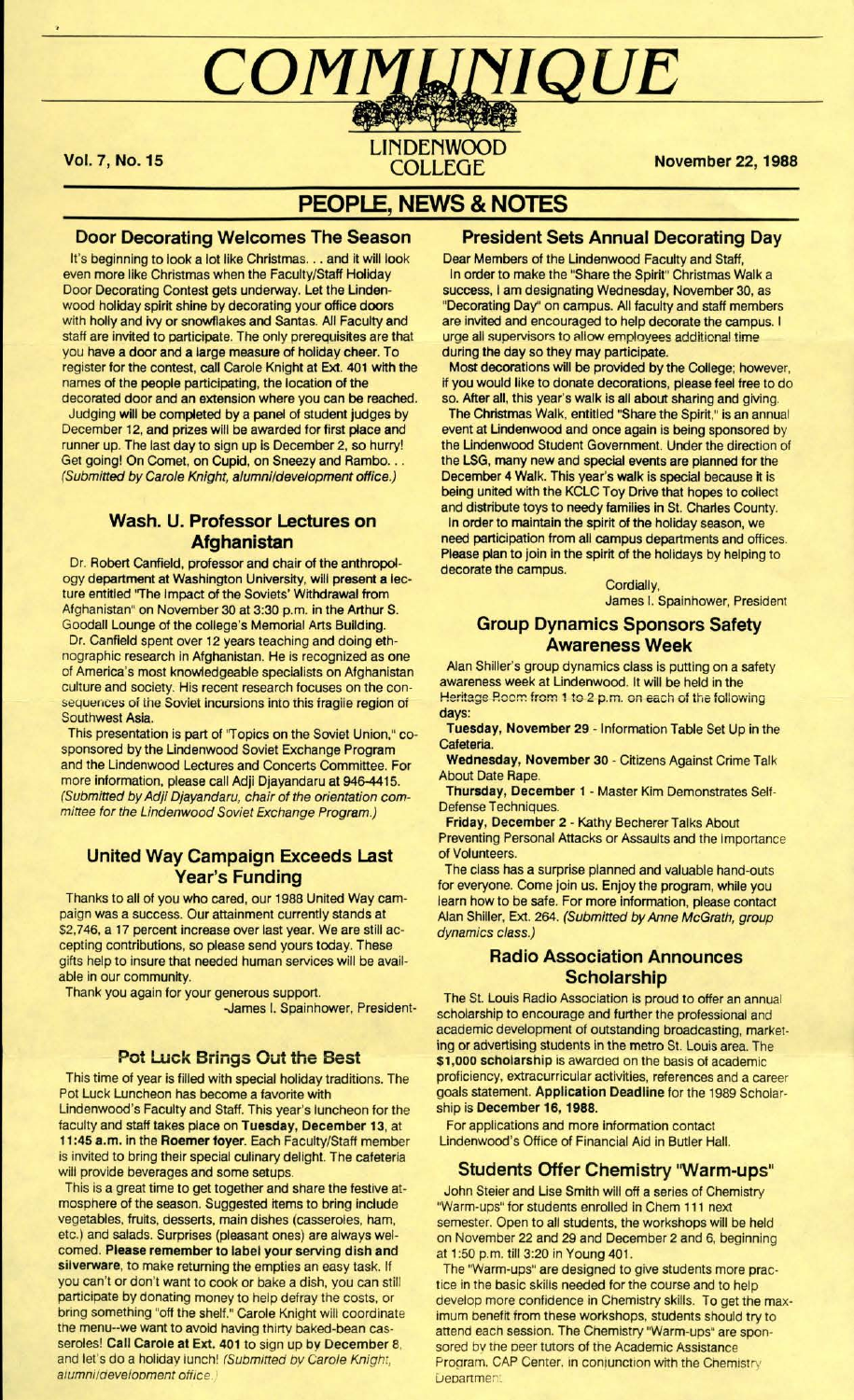# COMMUNIQUE

**LINDENWOOD** COLLEGE

Vol. 7, No. 15

**November 22, 1988** 

## **PEOPLE, NEWS & NOTES**

## **Door Decorating Welcomes The Season**

It's beginning to look a lot like Christmas. . . and it will look even more like Christmas when the Faculty/Staff Holiday Door Decorating Contest gets underway. Let the Lindenwood holiday spirit shine by decorating your office doors with holly and ivy or snowflakes and Santas. All Faculty and staff are invited to participate. The only prerequisites are that you have a door and a large measure of holiday cheer. To register for the contest, call Carole Knight at Ext. 401 with the names of the people participating, the location of the decorated door and an extension where you can be reached.

Judging **will** be completed by a panel of student judges by December 12, and prizes will be awarded for first place and runner up. The last day to sign up is December 2, so hurry! Get going! On Comet, on Cupid, on Sneezy and Rambo... (Submitted by Carole Knight, alumni/development office.)

## **Wash. U. Professor Lectures on Afghanistan**

Dr. Robert Canfield, professor and chair of the anthropology department at Washington University, will present a lecture entitled ''The Impact of the Soviets' Withdrawal from Afghanistan" on November 30 at 3:30 p.m. in the Arthur S. Goodall Lounge of the college's Memorial Arts Building.

Dr. Canfield spent over 12 years teaching and doing ethnographic research in Afghanistan. He is recognized as one of America's most knowledgeable specialists on Afghanistan culture and society. His recent research focuses on the consequences of the Soviet incursions into this fragile region of Southwest **Asia.** 

This presentation is part of ''Topics on the Soviet Union," cosponsored by the Lindenwood Soviet Exchange Program and the Lindenwood Lectures and Concerts Committee. For more information, please call Adji Djayandaru at 946-4415. (Submitted by Adji Djayandaru, chair of the orientation committee for the Lindenwood Soviet Exchange Program.)

## **United Way Campaign Exceeds Last Year's** Funding

Thanks to all of you who cared, our 1988 United Way campaign was a success. Our attainment currently stands at \$2,746, a 17 percent increase over last year. We are still accepting contributions, so please send yours today. These gifts help to insure that needed human services will be **avail**able in our community.

Thank you again tor your generous support. -James I. Spainhower, President-

## **Pot Luck Brings Out the Best**

This time of year is filled with special holiday traditions. The Pot Luck Luncheon has become a favorite with Lindenwood's Faculty and Staff. This year's luncheon tor the faculty and staff takes place on **Tuesday, December 13,** at **11 :45 a.m.** in the **Roemer foyer.** Each Faculty/Staff member is invited to bring their special culinary delight. The cafeteria will provide beverages and some setups.

This is a great time to get together and share the festive atmosphere of the season. Suggested items to bring include vegetables, fruits, desserts, main dishes (casseroles, ham, etc.) and salads. Surprises (pleasant ones) are always welcomed. **Please remember to label your serving dish and silverware,** to make returning the empties an easy task. If you can't or don't want to cook or bake a dish, you can still participate by donating money to help defray the costs, or bring something "off the shelf." Carole Knight will coordinate the menu--we want to avoid having thirty baked-bean casseroles! **Call Carole at Ext. 401** to sign up **by December** 8, and let's do a holiday lunch! (Submitted by Carole Knight, alumniidevelopment office

## **President Sets Annual Decorating Day**

Dear Members of the Lindenwood Faculty and Staff, In order to make the "Share the Spirit" Christmas Walk a success, I am designating Wednesday, November 30, as "Decorating Day'' on campus. All faculty and staff members are invited and encouraged to help decorate the campus. I urge all supervisors to allow employees additional time during the day so they may participate.

Most decorations will be provided by the College; however, it you would like to donate decorations, please feel free to do so. After all, this year's walk is all about sharing and giving.

The Christmas Walk, entitled "Share the Spirit," is an annual event at Lindenwood and once again is being sponsored by the Lindenwood Student Government. Under the direction of the LSG, many new and special events are planned for the December 4 Walk. This year's walk is special because it is being united with the KCLC Toy Drive that hopes to collect and distribute toys to needy families in St. Charles County. In order to maintain the spirit of the holiday season, we need participation from all campus departments and offices. Please plan to join in the spirit of the holidays by helping to decorate the campus.

Cordially,

## James I. Spainhower, President

## **Group Dynamics Sponsors Safety Awareness Week**

Alan Shiller's group dynamics class is putting on a safety awareness week at Lindenwood. It will be held in the Heritage Room from 1 to 2 p.m. on each of the following days:

**Tuesday, November 29** - Information Table Set Up in the Cafeteria.

**Wednesday, November 30** - Citizens Against Crime Talk About Date Rape.

**Thursday, December 1** - Master Kim Demonstrates Self-Defense Techniques.

**Friday, December 2** - Kathy Becherer Talks About Preventing Personal Attacks or Assaults and the Importance of Volunteers.

The class has a surprise planned and valuable hand-outs for everyone. Come join us. Enjoy the program, while you learn how to be safe. For more information, please contact Alan Shiller, Ext. 264. (Submitted by Anne McGrath, group dynamics class.)

## **Radio Association Announces Scholarship**

The St. Louis Radio Association is proud to offer an annual scholarship to encourage and further the professional and academic development of outstanding broadcasting, marketing or advertising students in the metro St. Louis area. The **\$1 ,000 scholarship** is awarded on the basis of academic proficiency, extracurricular activities, references and a career goals statement. **Application Dead line** for the 1989 Scholar ship is **December 16, 1988.** 

For applications and more information contact Lindenwood's Office of Financial Aid in Butler Hall.

## **Students Offer Chemistry "Warm-ups"**

John Steier and Lise Smith will off a series of Chemistry "Warm-ups" for students enrolled in Chem 111 next semester. Open to all students, the workshops will be held on November 22 and 29 and December 2 and 6, beginning at 1:50 p.m. till 3:20 in Young 401.

The "Warm-ups" are designed to give students more practice in the basic skills needed for the course and to help develop more confidence in Chemistry skills. To get the maximum benefit from these workshops, students should **try** to attend each session. The Chemistry "Warm-ups" are sponsored by the peer tutors of the Academic Assistance Program. CAP Center. in conjunction with the Chemistry **Department**